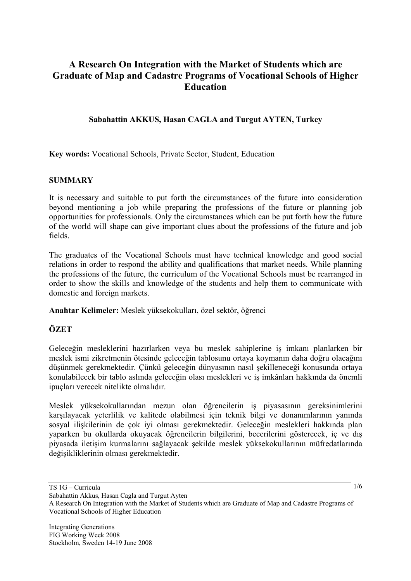# **A Research On Integration with the Market of Students which are Graduate of Map and Cadastre Programs of Vocational Schools of Higher Education**

## **Sabahattin AKKUS, Hasan CAGLA and Turgut AYTEN, Turkey**

**Key words:** Vocational Schools, Private Sector, Student, Education

#### **SUMMARY**

It is necessary and suitable to put forth the circumstances of the future into consideration beyond mentioning a job while preparing the professions of the future or planning job opportunities for professionals. Only the circumstances which can be put forth how the future of the world will shape can give important clues about the professions of the future and job fields.

The graduates of the Vocational Schools must have technical knowledge and good social relations in order to respond the ability and qualifications that market needs. While planning the professions of the future, the curriculum of the Vocational Schools must be rearranged in order to show the skills and knowledge of the students and help them to communicate with domestic and foreign markets.

**Anahtar Kelimeler:** Meslek yüksekokulları, özel sektör, öğrenci

# **ÖZET**

Geleceğin mesleklerini hazırlarken veya bu meslek sahiplerine iş imkanı planlarken bir meslek ismi zikretmenin ötesinde geleceğin tablosunu ortaya koymanın daha doğru olacağını düşünmek gerekmektedir. Çünkü geleceğin dünyasının nasıl şekilleneceği konusunda ortaya konulabilecek bir tablo aslında geleceğin olası meslekleri ve iş imkânları hakkında da önemli ipuçları verecek nitelikte olmalıdır.

Meslek yüksekokullarından mezun olan öğrencilerin iş piyasasının gereksinimlerini karşılayacak yeterlilik ve kalitede olabilmesi için teknik bilgi ve donanımlarının yanında sosyal ilişkilerinin de çok iyi olması gerekmektedir. Geleceğin meslekleri hakkında plan yaparken bu okullarda okuyacak öğrencilerin bilgilerini, becerilerini gösterecek, iç ve dış piyasada iletişim kurmalarını sağlayacak şekilde meslek yüksekokullarının müfredatlarında değişikliklerinin olması gerekmektedir.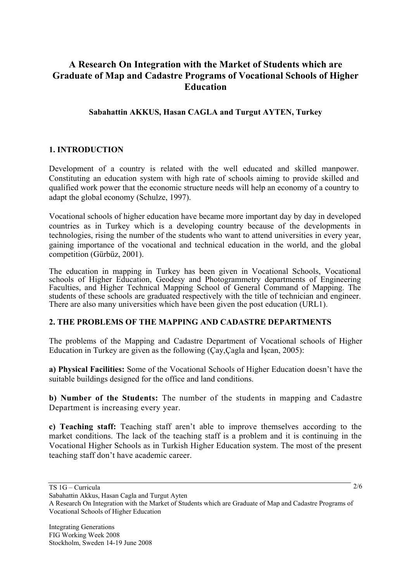# **A Research On Integration with the Market of Students which are Graduate of Map and Cadastre Programs of Vocational Schools of Higher Education**

## **Sabahattin AKKUS, Hasan CAGLA and Turgut AYTEN, Turkey**

## **1. INTRODUCTION**

Development of a country is related with the well educated and skilled manpower. Constituting an education system with high rate of schools aiming to provide skilled and qualified work power that the economic structure needs will help an economy of a country to adapt the global economy (Schulze, 1997).

Vocational schools of higher education have became more important day by day in developed countries as in Turkey which is a developing country because of the developments in technologies, rising the number of the students who want to attend universities in every year, gaining importance of the vocational and technical education in the world, and the global competition (Gürbüz, 2001).

 The education in mapping in Turkey has been given in Vocational Schools, Vocational schools of Higher Education, Geodesy and Photogrammetry departments of Engineering Faculties, and Higher Technical Mapping School of General Command of Mapping. The students of these schools are graduated respectively with the title of technician and engineer. There are also many universities which have been given the post education (URL1).

## **2. THE PROBLEMS OF THE MAPPING AND CADASTRE DEPARTMENTS**

The problems of the Mapping and Cadastre Department of Vocational schools of Higher Education in Turkey are given as the following (Çay,Çagla and İşcan, 2005):

**a) Physical Facilities:** Some of the Vocational Schools of Higher Education doesn't have the suitable buildings designed for the office and land conditions.

**b) Number of the Students:** The number of the students in mapping and Cadastre Department is increasing every year.

**c) Teaching staff:** Teaching staff aren't able to improve themselves according to the market conditions. The lack of the teaching staff is a problem and it is continuing in the Vocational Higher Schools as in Turkish Higher Education system. The most of the present teaching staff don't have academic career.

TS 1G – Curricula

Sabahattin Akkus, Hasan Cagla and Turgut Ayten

A Research On Integration with the Market of Students which are Graduate of Map and Cadastre Programs of Vocational Schools of Higher Education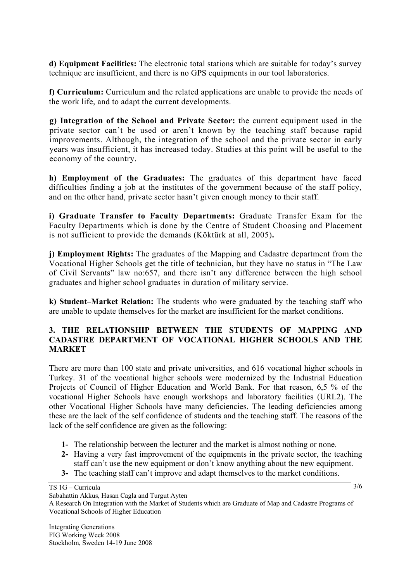**d) Equipment Facilities:** The electronic total stations which are suitable for today's survey technique are insufficient, and there is no GPS equipments in our tool laboratories.

**f) Curriculum:** Curriculum and the related applications are unable to provide the needs of the work life, and to adapt the current developments.

**g) Integration of the School and Private Sector:** the current equipment used in the private sector can't be used or aren't known by the teaching staff because rapid improvements. Although, the integration of the school and the private sector in early years was insufficient, it has increased today. Studies at this point will be useful to the economy of the country.

**h) Employment of the Graduates:** The graduates of this department have faced difficulties finding a job at the institutes of the government because of the staff policy, and on the other hand, private sector hasn't given enough money to their staff.

**i) Graduate Transfer to Faculty Departments:** Graduate Transfer Exam for the Faculty Departments which is done by the Centre of Student Choosing and Placement is not sufficient to provide the demands (Köktürk at all, 2005)**.** 

**j) Employment Rights:** The graduates of the Mapping and Cadastre department from the Vocational Higher Schools get the title of technician, but they have no status in "The Law of Civil Servants" law no:657, and there isn't any difference between the high school graduates and higher school graduates in duration of military service.

**k) Student–Market Relation:** The students who were graduated by the teaching staff who are unable to update themselves for the market are insufficient for the market conditions.

## **3. THE RELATIONSHIP BETWEEN THE STUDENTS OF MAPPING AND CADASTRE DEPARTMENT OF VOCATIONAL HIGHER SCHOOLS AND THE MARKET**

There are more than 100 state and private universities, and 616 vocational higher schools in Turkey. 31 of the vocational higher schools were modernized by the Industrial Education Projects of Council of Higher Education and World Bank. For that reason, 6,5 % of the vocational Higher Schools have enough workshops and laboratory facilities (URL2). The other Vocational Higher Schools have many deficiencies. The leading deficiencies among these are the lack of the self confidence of students and the teaching staff. The reasons of the lack of the self confidence are given as the following:

- **1-** The relationship between the lecturer and the market is almost nothing or none.
- **2-** Having a very fast improvement of the equipments in the private sector, the teaching staff can't use the new equipment or don't know anything about the new equipment.
- **3-** The teaching staff can't improve and adapt themselves to the market conditions.

TS 1G – Curricula

Sabahattin Akkus, Hasan Cagla and Turgut Ayten A Research On Integration with the Market of Students which are Graduate of Map and Cadastre Programs of Vocational Schools of Higher Education

<sup>3/6</sup>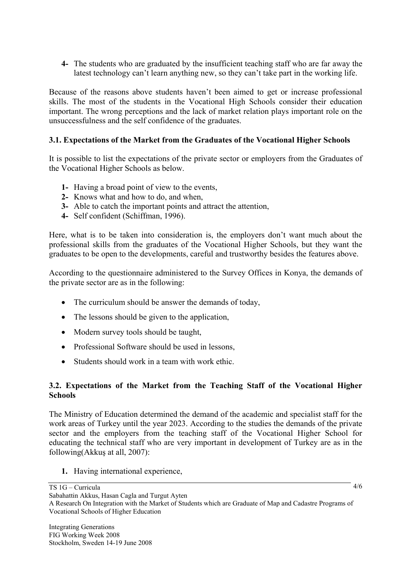**4-** The students who are graduated by the insufficient teaching staff who are far away the latest technology can't learn anything new, so they can't take part in the working life.

Because of the reasons above students haven't been aimed to get or increase professional skills. The most of the students in the Vocational High Schools consider their education important. The wrong perceptions and the lack of market relation plays important role on the unsuccessfulness and the self confidence of the graduates.

## **3.1. Expectations of the Market from the Graduates of the Vocational Higher Schools**

It is possible to list the expectations of the private sector or employers from the Graduates of the Vocational Higher Schools as below.

- **1-** Having a broad point of view to the events,
- **2-** Knows what and how to do, and when,
- **3-** Able to catch the important points and attract the attention,
- **4-** Self confident (Schiffman, 1996).

Here, what is to be taken into consideration is, the employers don't want much about the professional skills from the graduates of the Vocational Higher Schools, but they want the graduates to be open to the developments, careful and trustworthy besides the features above.

According to the questionnaire administered to the Survey Offices in Konya, the demands of the private sector are as in the following:

- The curriculum should be answer the demands of today,
- The lessons should be given to the application,
- Modern survey tools should be taught,
- Professional Software should be used in lessons.
- Students should work in a team with work ethic.

## **3.2. Expectations of the Market from the Teaching Staff of the Vocational Higher Schools**

The Ministry of Education determined the demand of the academic and specialist staff for the work areas of Turkey until the year 2023. According to the studies the demands of the private sector and the employers from the teaching staff of the Vocational Higher School for educating the technical staff who are very important in development of Turkey are as in the following(Akkuş at all, 2007):

**1.** Having international experience,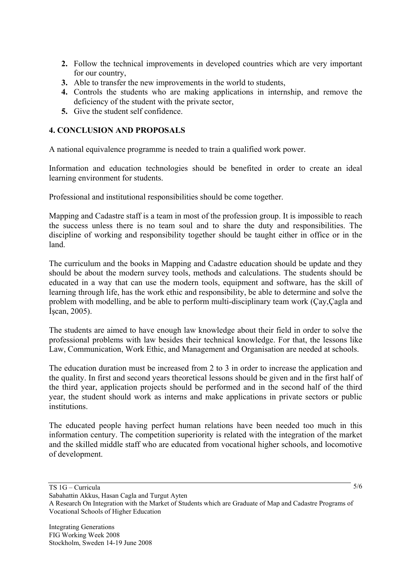- **2.** Follow the technical improvements in developed countries which are very important for our country,
- **3.** Able to transfer the new improvements in the world to students,
- **4.** Controls the students who are making applications in internship, and remove the deficiency of the student with the private sector,
- **5.** Give the student self confidence.

## **4. CONCLUSION AND PROPOSALS**

A national equivalence programme is needed to train a qualified work power.

Information and education technologies should be benefited in order to create an ideal learning environment for students.

Professional and institutional responsibilities should be come together.

Mapping and Cadastre staff is a team in most of the profession group. It is impossible to reach the success unless there is no team soul and to share the duty and responsibilities. The discipline of working and responsibility together should be taught either in office or in the land.

The curriculum and the books in Mapping and Cadastre education should be update and they should be about the modern survey tools, methods and calculations. The students should be educated in a way that can use the modern tools, equipment and software, has the skill of learning through life, has the work ethic and responsibility, be able to determine and solve the problem with modelling, and be able to perform multi-disciplinary team work (Çay,Çagla and İşcan, 2005).

The students are aimed to have enough law knowledge about their field in order to solve the professional problems with law besides their technical knowledge. For that, the lessons like Law, Communication, Work Ethic, and Management and Organisation are needed at schools.

The education duration must be increased from 2 to 3 in order to increase the application and the quality. In first and second years theoretical lessons should be given and in the first half of the third year, application projects should be performed and in the second half of the third year, the student should work as interns and make applications in private sectors or public institutions.

The educated people having perfect human relations have been needed too much in this information century. The competition superiority is related with the integration of the market and the skilled middle staff who are educated from vocational higher schools, and locomotive of development.